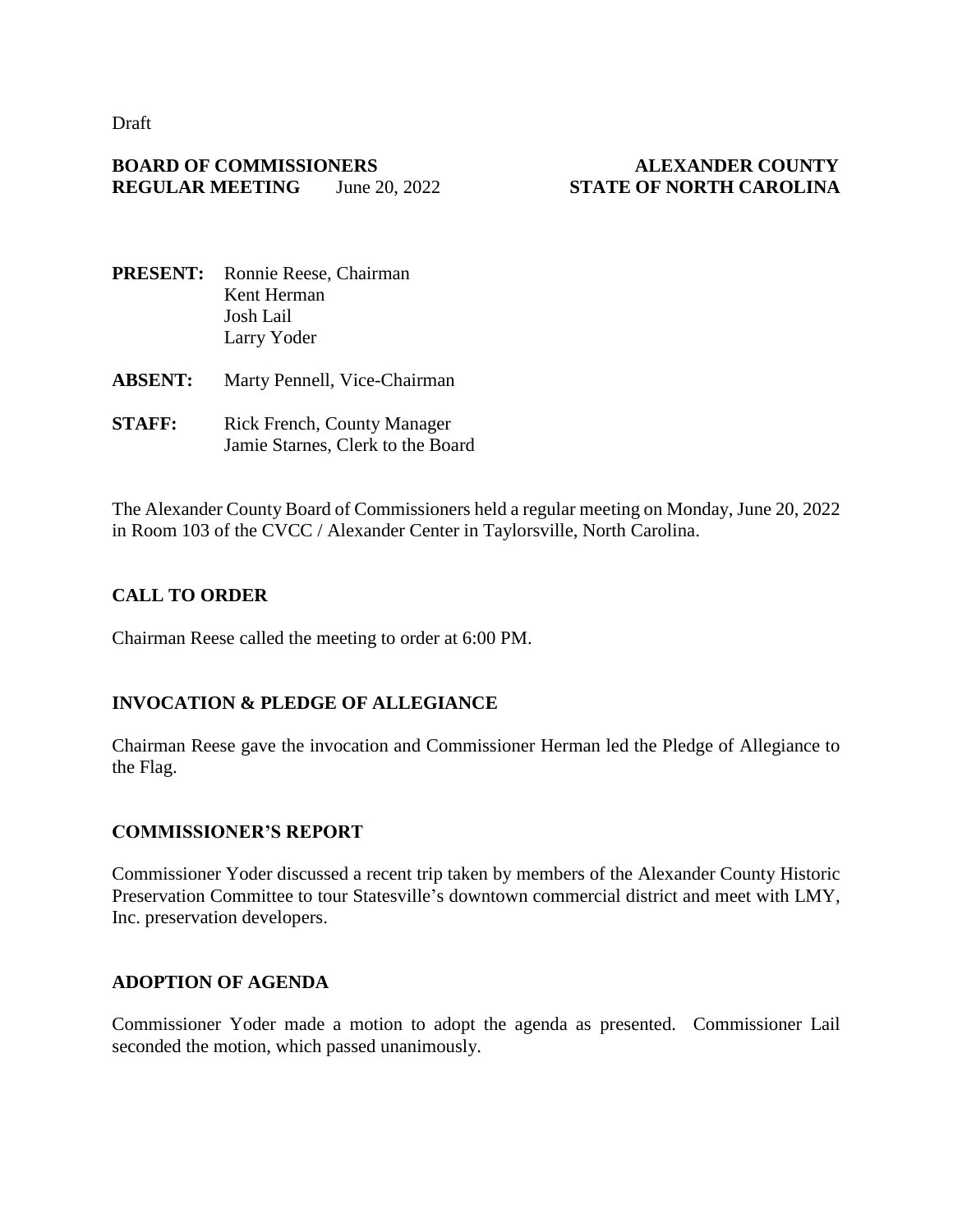Draft

#### **BOARD OF COMMISSIONERS ALEXANDER COUNTY REGULAR MEETING** June 20, 2022 **STATE OF NORTH CAROLINA**

- **PRESENT:** Ronnie Reese, Chairman Kent Herman Josh Lail Larry Yoder
- **ABSENT:** Marty Pennell, Vice-Chairman
- **STAFF:** Rick French, County Manager Jamie Starnes, Clerk to the Board

The Alexander County Board of Commissioners held a regular meeting on Monday, June 20, 2022 in Room 103 of the CVCC / Alexander Center in Taylorsville, North Carolina.

# **CALL TO ORDER**

Chairman Reese called the meeting to order at 6:00 PM.

#### **INVOCATION & PLEDGE OF ALLEGIANCE**

Chairman Reese gave the invocation and Commissioner Herman led the Pledge of Allegiance to the Flag.

#### **COMMISSIONER'S REPORT**

Commissioner Yoder discussed a recent trip taken by members of the Alexander County Historic Preservation Committee to tour Statesville's downtown commercial district and meet with LMY, Inc. preservation developers.

#### **ADOPTION OF AGENDA**

Commissioner Yoder made a motion to adopt the agenda as presented. Commissioner Lail seconded the motion, which passed unanimously.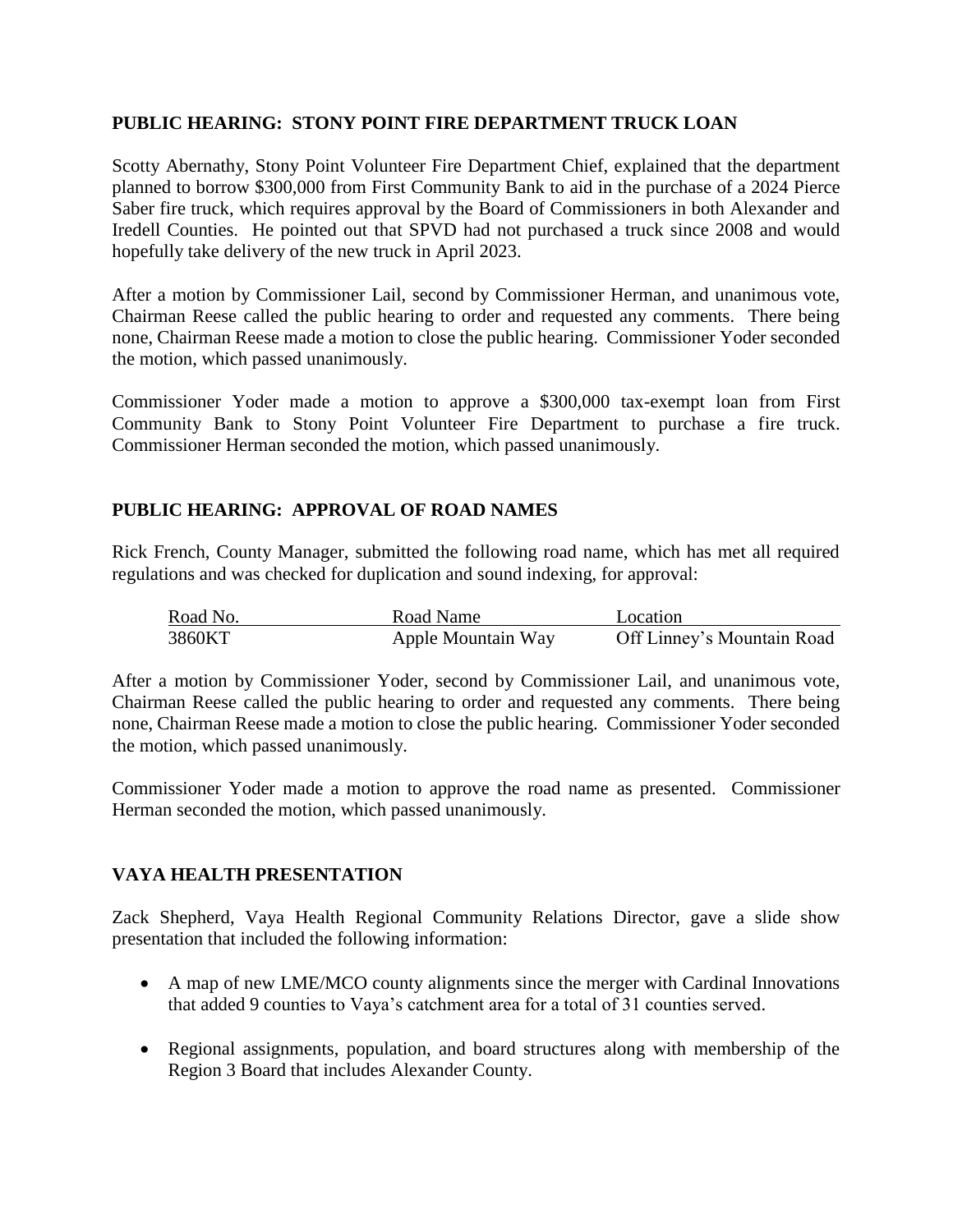#### **PUBLIC HEARING: STONY POINT FIRE DEPARTMENT TRUCK LOAN**

Scotty Abernathy, Stony Point Volunteer Fire Department Chief, explained that the department planned to borrow \$300,000 from First Community Bank to aid in the purchase of a 2024 Pierce Saber fire truck, which requires approval by the Board of Commissioners in both Alexander and Iredell Counties. He pointed out that SPVD had not purchased a truck since 2008 and would hopefully take delivery of the new truck in April 2023.

After a motion by Commissioner Lail, second by Commissioner Herman, and unanimous vote, Chairman Reese called the public hearing to order and requested any comments. There being none, Chairman Reese made a motion to close the public hearing. Commissioner Yoder seconded the motion, which passed unanimously.

Commissioner Yoder made a motion to approve a \$300,000 tax-exempt loan from First Community Bank to Stony Point Volunteer Fire Department to purchase a fire truck. Commissioner Herman seconded the motion, which passed unanimously.

#### **PUBLIC HEARING: APPROVAL OF ROAD NAMES**

Rick French, County Manager, submitted the following road name, which has met all required regulations and was checked for duplication and sound indexing, for approval:

| Road No. | Road Name          | Location                   |
|----------|--------------------|----------------------------|
| 3860KT   | Apple Mountain Way | Off Linney's Mountain Road |

After a motion by Commissioner Yoder, second by Commissioner Lail, and unanimous vote, Chairman Reese called the public hearing to order and requested any comments. There being none, Chairman Reese made a motion to close the public hearing. Commissioner Yoder seconded the motion, which passed unanimously.

Commissioner Yoder made a motion to approve the road name as presented. Commissioner Herman seconded the motion, which passed unanimously.

# **VAYA HEALTH PRESENTATION**

Zack Shepherd, Vaya Health Regional Community Relations Director, gave a slide show presentation that included the following information:

- A map of new LME/MCO county alignments since the merger with Cardinal Innovations that added 9 counties to Vaya's catchment area for a total of 31 counties served.
- Regional assignments, population, and board structures along with membership of the Region 3 Board that includes Alexander County.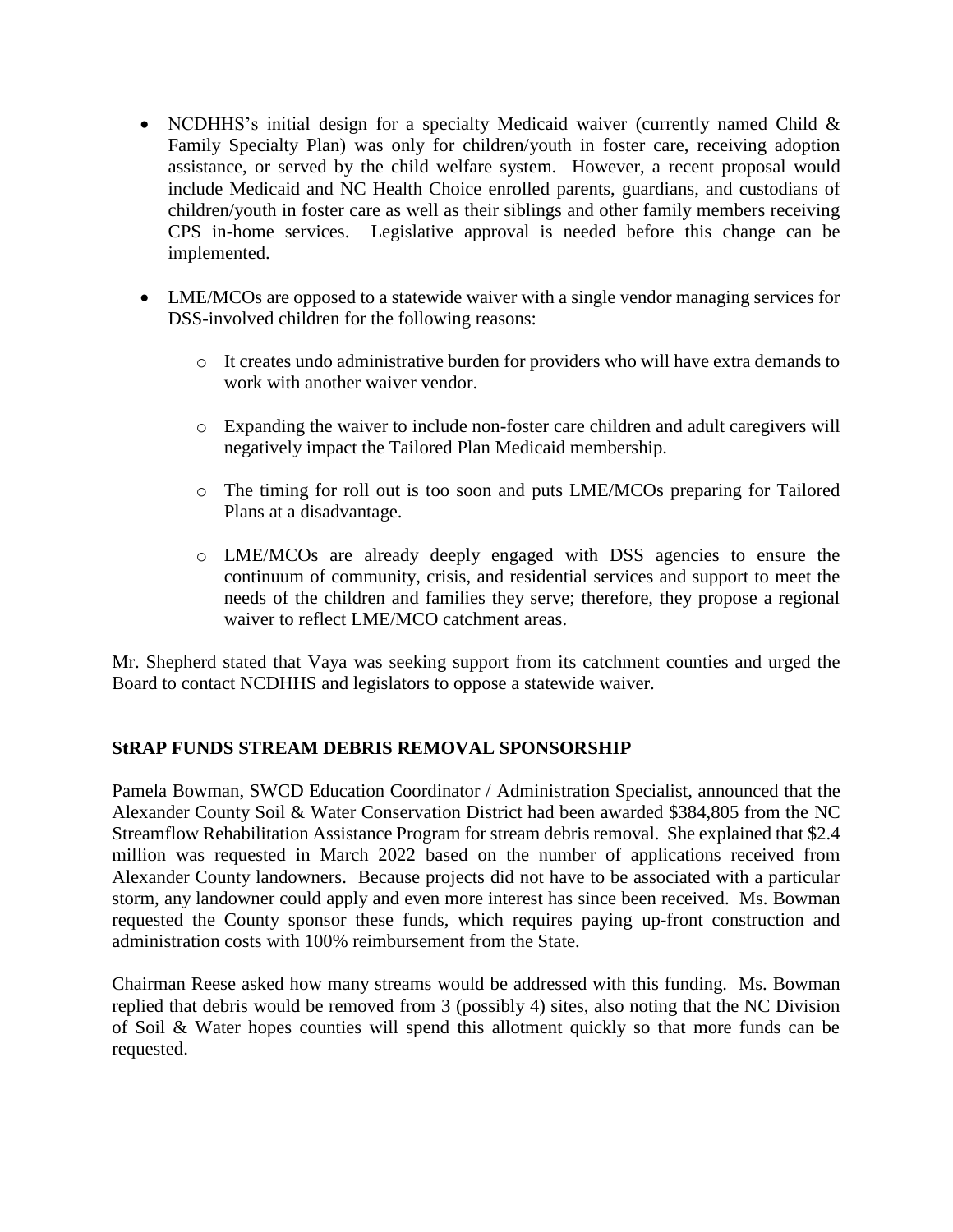- NCDHHS's initial design for a specialty Medicaid waiver (currently named Child & Family Specialty Plan) was only for children/youth in foster care, receiving adoption assistance, or served by the child welfare system. However, a recent proposal would include Medicaid and NC Health Choice enrolled parents, guardians, and custodians of children/youth in foster care as well as their siblings and other family members receiving CPS in-home services. Legislative approval is needed before this change can be implemented.
- LME/MCOs are opposed to a statewide waiver with a single vendor managing services for DSS-involved children for the following reasons:
	- o It creates undo administrative burden for providers who will have extra demands to work with another waiver vendor.
	- o Expanding the waiver to include non-foster care children and adult caregivers will negatively impact the Tailored Plan Medicaid membership.
	- o The timing for roll out is too soon and puts LME/MCOs preparing for Tailored Plans at a disadvantage.
	- o LME/MCOs are already deeply engaged with DSS agencies to ensure the continuum of community, crisis, and residential services and support to meet the needs of the children and families they serve; therefore, they propose a regional waiver to reflect LME/MCO catchment areas.

Mr. Shepherd stated that Vaya was seeking support from its catchment counties and urged the Board to contact NCDHHS and legislators to oppose a statewide waiver.

# **StRAP FUNDS STREAM DEBRIS REMOVAL SPONSORSHIP**

Pamela Bowman, SWCD Education Coordinator / Administration Specialist, announced that the Alexander County Soil & Water Conservation District had been awarded \$384,805 from the NC Streamflow Rehabilitation Assistance Program for stream debris removal. She explained that \$2.4 million was requested in March 2022 based on the number of applications received from Alexander County landowners. Because projects did not have to be associated with a particular storm, any landowner could apply and even more interest has since been received. Ms. Bowman requested the County sponsor these funds, which requires paying up-front construction and administration costs with 100% reimbursement from the State.

Chairman Reese asked how many streams would be addressed with this funding. Ms. Bowman replied that debris would be removed from 3 (possibly 4) sites, also noting that the NC Division of Soil & Water hopes counties will spend this allotment quickly so that more funds can be requested.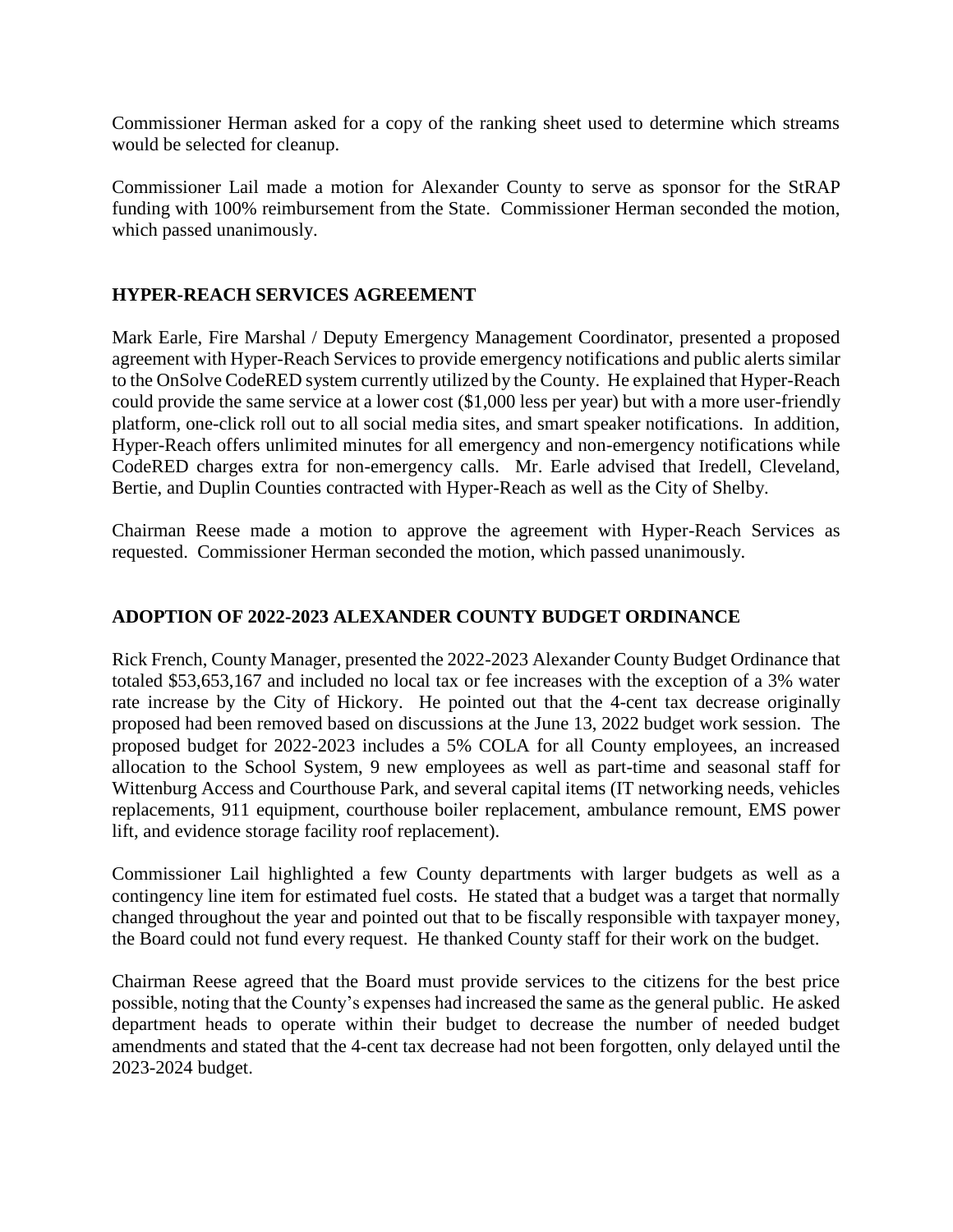Commissioner Herman asked for a copy of the ranking sheet used to determine which streams would be selected for cleanup.

Commissioner Lail made a motion for Alexander County to serve as sponsor for the StRAP funding with 100% reimbursement from the State. Commissioner Herman seconded the motion, which passed unanimously.

# **HYPER-REACH SERVICES AGREEMENT**

Mark Earle, Fire Marshal / Deputy Emergency Management Coordinator, presented a proposed agreement with Hyper-Reach Services to provide emergency notifications and public alerts similar to the OnSolve CodeRED system currently utilized by the County. He explained that Hyper-Reach could provide the same service at a lower cost (\$1,000 less per year) but with a more user-friendly platform, one-click roll out to all social media sites, and smart speaker notifications. In addition, Hyper-Reach offers unlimited minutes for all emergency and non-emergency notifications while CodeRED charges extra for non-emergency calls. Mr. Earle advised that Iredell, Cleveland, Bertie, and Duplin Counties contracted with Hyper-Reach as well as the City of Shelby.

Chairman Reese made a motion to approve the agreement with Hyper-Reach Services as requested. Commissioner Herman seconded the motion, which passed unanimously.

# **ADOPTION OF 2022-2023 ALEXANDER COUNTY BUDGET ORDINANCE**

Rick French, County Manager, presented the 2022-2023 Alexander County Budget Ordinance that totaled \$53,653,167 and included no local tax or fee increases with the exception of a 3% water rate increase by the City of Hickory. He pointed out that the 4-cent tax decrease originally proposed had been removed based on discussions at the June 13, 2022 budget work session. The proposed budget for 2022-2023 includes a 5% COLA for all County employees, an increased allocation to the School System, 9 new employees as well as part-time and seasonal staff for Wittenburg Access and Courthouse Park, and several capital items (IT networking needs, vehicles replacements, 911 equipment, courthouse boiler replacement, ambulance remount, EMS power lift, and evidence storage facility roof replacement).

Commissioner Lail highlighted a few County departments with larger budgets as well as a contingency line item for estimated fuel costs. He stated that a budget was a target that normally changed throughout the year and pointed out that to be fiscally responsible with taxpayer money, the Board could not fund every request. He thanked County staff for their work on the budget.

Chairman Reese agreed that the Board must provide services to the citizens for the best price possible, noting that the County's expenses had increased the same as the general public. He asked department heads to operate within their budget to decrease the number of needed budget amendments and stated that the 4-cent tax decrease had not been forgotten, only delayed until the 2023-2024 budget.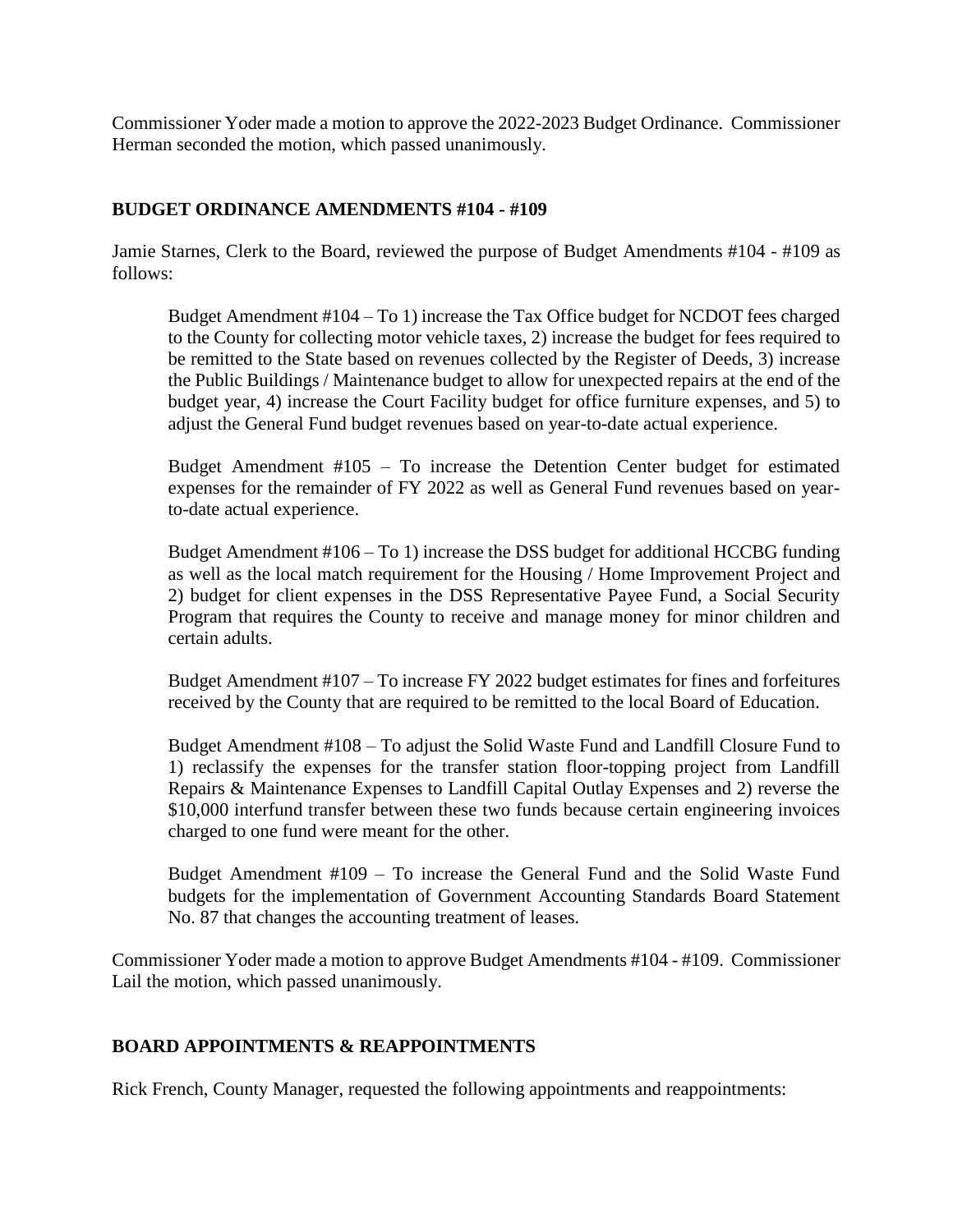Commissioner Yoder made a motion to approve the 2022-2023 Budget Ordinance. Commissioner Herman seconded the motion, which passed unanimously.

#### **BUDGET ORDINANCE AMENDMENTS #104 - #109**

Jamie Starnes, Clerk to the Board, reviewed the purpose of Budget Amendments #104 - #109 as follows:

Budget Amendment #104 – To 1) increase the Tax Office budget for NCDOT fees charged to the County for collecting motor vehicle taxes, 2) increase the budget for fees required to be remitted to the State based on revenues collected by the Register of Deeds, 3) increase the Public Buildings / Maintenance budget to allow for unexpected repairs at the end of the budget year, 4) increase the Court Facility budget for office furniture expenses, and 5) to adjust the General Fund budget revenues based on year-to-date actual experience.

Budget Amendment #105 – To increase the Detention Center budget for estimated expenses for the remainder of FY 2022 as well as General Fund revenues based on yearto-date actual experience.

Budget Amendment #106 – To 1) increase the DSS budget for additional HCCBG funding as well as the local match requirement for the Housing / Home Improvement Project and 2) budget for client expenses in the DSS Representative Payee Fund, a Social Security Program that requires the County to receive and manage money for minor children and certain adults.

Budget Amendment #107 – To increase FY 2022 budget estimates for fines and forfeitures received by the County that are required to be remitted to the local Board of Education.

Budget Amendment #108 – To adjust the Solid Waste Fund and Landfill Closure Fund to 1) reclassify the expenses for the transfer station floor-topping project from Landfill Repairs & Maintenance Expenses to Landfill Capital Outlay Expenses and 2) reverse the \$10,000 interfund transfer between these two funds because certain engineering invoices charged to one fund were meant for the other.

Budget Amendment #109 – To increase the General Fund and the Solid Waste Fund budgets for the implementation of Government Accounting Standards Board Statement No. 87 that changes the accounting treatment of leases.

Commissioner Yoder made a motion to approve Budget Amendments #104 - #109. Commissioner Lail the motion, which passed unanimously.

# **BOARD APPOINTMENTS & REAPPOINTMENTS**

Rick French, County Manager, requested the following appointments and reappointments: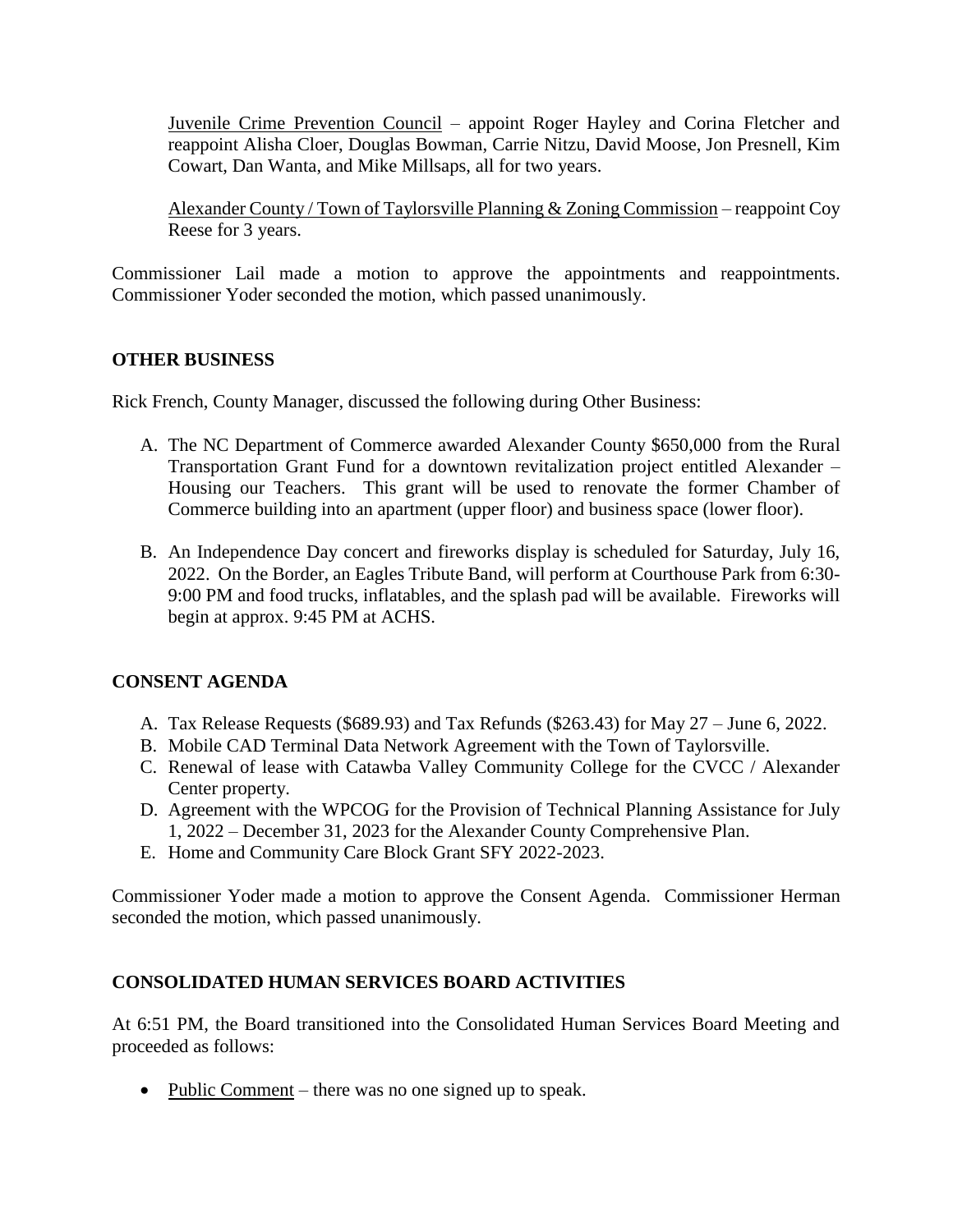Juvenile Crime Prevention Council – appoint Roger Hayley and Corina Fletcher and reappoint Alisha Cloer, Douglas Bowman, Carrie Nitzu, David Moose, Jon Presnell, Kim Cowart, Dan Wanta, and Mike Millsaps, all for two years.

Alexander County / Town of Taylorsville Planning & Zoning Commission – reappoint Coy Reese for 3 years.

Commissioner Lail made a motion to approve the appointments and reappointments. Commissioner Yoder seconded the motion, which passed unanimously.

# **OTHER BUSINESS**

Rick French, County Manager, discussed the following during Other Business:

- A. The NC Department of Commerce awarded Alexander County \$650,000 from the Rural Transportation Grant Fund for a downtown revitalization project entitled Alexander – Housing our Teachers. This grant will be used to renovate the former Chamber of Commerce building into an apartment (upper floor) and business space (lower floor).
- B. An Independence Day concert and fireworks display is scheduled for Saturday, July 16, 2022. On the Border, an Eagles Tribute Band, will perform at Courthouse Park from 6:30- 9:00 PM and food trucks, inflatables, and the splash pad will be available. Fireworks will begin at approx. 9:45 PM at ACHS.

# **CONSENT AGENDA**

- A. Tax Release Requests (\$689.93) and Tax Refunds (\$263.43) for May 27 June 6, 2022.
- B. Mobile CAD Terminal Data Network Agreement with the Town of Taylorsville.
- C. Renewal of lease with Catawba Valley Community College for the CVCC / Alexander Center property.
- D. Agreement with the WPCOG for the Provision of Technical Planning Assistance for July 1, 2022 – December 31, 2023 for the Alexander County Comprehensive Plan.
- E. Home and Community Care Block Grant SFY 2022-2023.

Commissioner Yoder made a motion to approve the Consent Agenda. Commissioner Herman seconded the motion, which passed unanimously.

#### **CONSOLIDATED HUMAN SERVICES BOARD ACTIVITIES**

At 6:51 PM, the Board transitioned into the Consolidated Human Services Board Meeting and proceeded as follows:

• Public Comment – there was no one signed up to speak.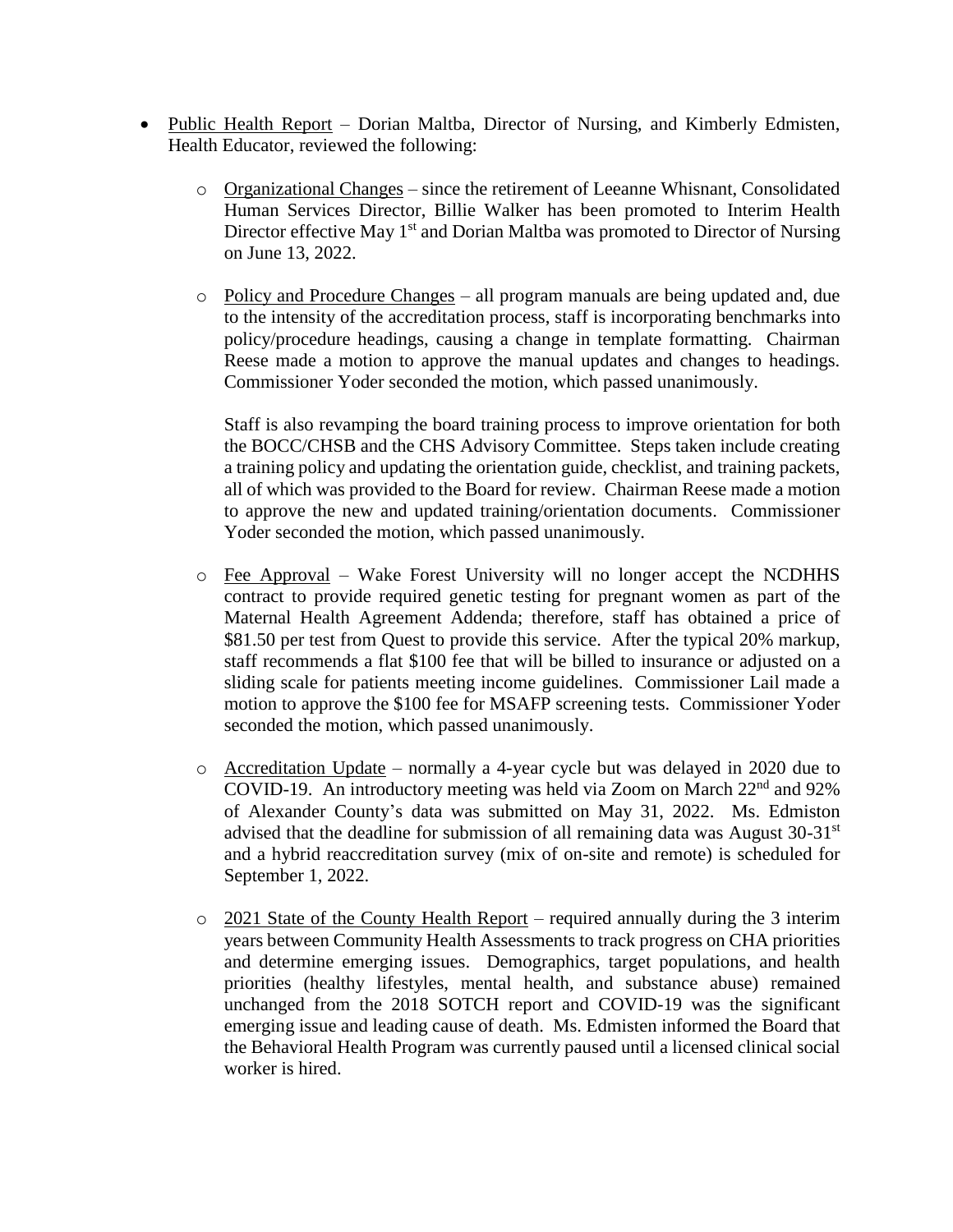- Public Health Report Dorian Maltba, Director of Nursing, and Kimberly Edmisten, Health Educator, reviewed the following:
	- $\circ$  Organizational Changes since the retirement of Leeanne Whisnant, Consolidated Human Services Director, Billie Walker has been promoted to Interim Health Director effective May 1<sup>st</sup> and Dorian Maltba was promoted to Director of Nursing on June 13, 2022.
	- o Policy and Procedure Changes all program manuals are being updated and, due to the intensity of the accreditation process, staff is incorporating benchmarks into policy/procedure headings, causing a change in template formatting. Chairman Reese made a motion to approve the manual updates and changes to headings. Commissioner Yoder seconded the motion, which passed unanimously.

Staff is also revamping the board training process to improve orientation for both the BOCC/CHSB and the CHS Advisory Committee. Steps taken include creating a training policy and updating the orientation guide, checklist, and training packets, all of which was provided to the Board for review. Chairman Reese made a motion to approve the new and updated training/orientation documents. Commissioner Yoder seconded the motion, which passed unanimously.

- o Fee Approval Wake Forest University will no longer accept the NCDHHS contract to provide required genetic testing for pregnant women as part of the Maternal Health Agreement Addenda; therefore, staff has obtained a price of \$81.50 per test from Quest to provide this service. After the typical 20% markup, staff recommends a flat \$100 fee that will be billed to insurance or adjusted on a sliding scale for patients meeting income guidelines. Commissioner Lail made a motion to approve the \$100 fee for MSAFP screening tests. Commissioner Yoder seconded the motion, which passed unanimously.
- o Accreditation Update normally a 4-year cycle but was delayed in 2020 due to COVID-19. An introductory meeting was held via Zoom on March 22nd and 92% of Alexander County's data was submitted on May 31, 2022. Ms. Edmiston advised that the deadline for submission of all remaining data was August  $30-31<sup>st</sup>$ and a hybrid reaccreditation survey (mix of on-site and remote) is scheduled for September 1, 2022.
- $\circ$  2021 State of the County Health Report required annually during the 3 interim years between Community Health Assessments to track progress on CHA priorities and determine emerging issues. Demographics, target populations, and health priorities (healthy lifestyles, mental health, and substance abuse) remained unchanged from the 2018 SOTCH report and COVID-19 was the significant emerging issue and leading cause of death. Ms. Edmisten informed the Board that the Behavioral Health Program was currently paused until a licensed clinical social worker is hired.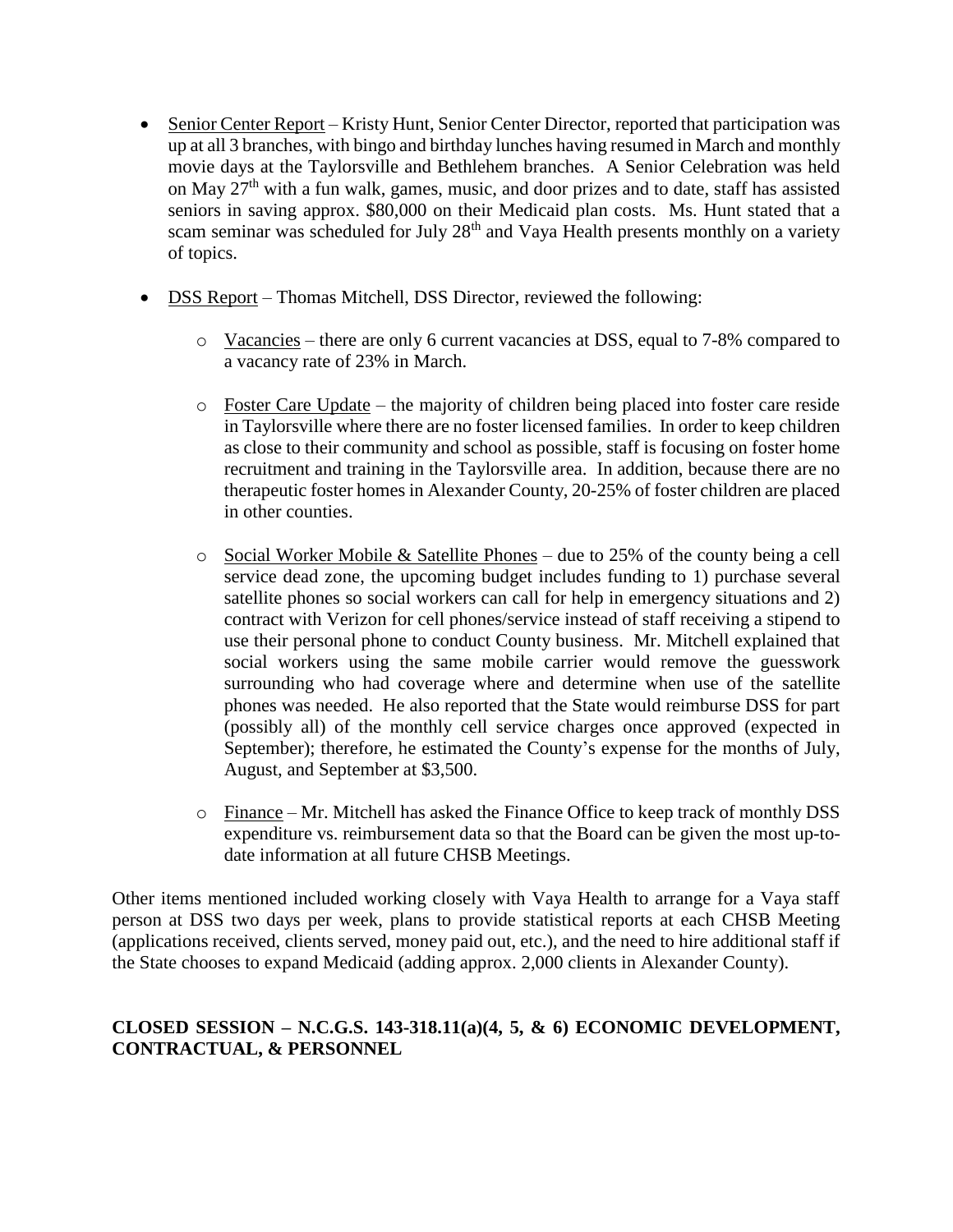- Senior Center Report Kristy Hunt, Senior Center Director, reported that participation was up at all 3 branches, with bingo and birthday lunches having resumed in March and monthly movie days at the Taylorsville and Bethlehem branches. A Senior Celebration was held on May 27th with a fun walk, games, music, and door prizes and to date, staff has assisted seniors in saving approx. \$80,000 on their Medicaid plan costs. Ms. Hunt stated that a scam seminar was scheduled for July 28<sup>th</sup> and Vaya Health presents monthly on a variety of topics.
- DSS Report Thomas Mitchell, DSS Director, reviewed the following:
	- o Vacancies there are only 6 current vacancies at DSS, equal to 7-8% compared to a vacancy rate of 23% in March.
	- o Foster Care Update the majority of children being placed into foster care reside in Taylorsville where there are no foster licensed families. In order to keep children as close to their community and school as possible, staff is focusing on foster home recruitment and training in the Taylorsville area. In addition, because there are no therapeutic foster homes in Alexander County, 20-25% of foster children are placed in other counties.
	- $\circ$  Social Worker Mobile & Satellite Phones due to 25% of the county being a cell service dead zone, the upcoming budget includes funding to 1) purchase several satellite phones so social workers can call for help in emergency situations and 2) contract with Verizon for cell phones/service instead of staff receiving a stipend to use their personal phone to conduct County business. Mr. Mitchell explained that social workers using the same mobile carrier would remove the guesswork surrounding who had coverage where and determine when use of the satellite phones was needed. He also reported that the State would reimburse DSS for part (possibly all) of the monthly cell service charges once approved (expected in September); therefore, he estimated the County's expense for the months of July, August, and September at \$3,500.
	- o Finance Mr. Mitchell has asked the Finance Office to keep track of monthly DSS expenditure vs. reimbursement data so that the Board can be given the most up-todate information at all future CHSB Meetings.

Other items mentioned included working closely with Vaya Health to arrange for a Vaya staff person at DSS two days per week, plans to provide statistical reports at each CHSB Meeting (applications received, clients served, money paid out, etc.), and the need to hire additional staff if the State chooses to expand Medicaid (adding approx. 2,000 clients in Alexander County).

# **CLOSED SESSION – N.C.G.S. 143-318.11(a)(4, 5, & 6) ECONOMIC DEVELOPMENT, CONTRACTUAL, & PERSONNEL**